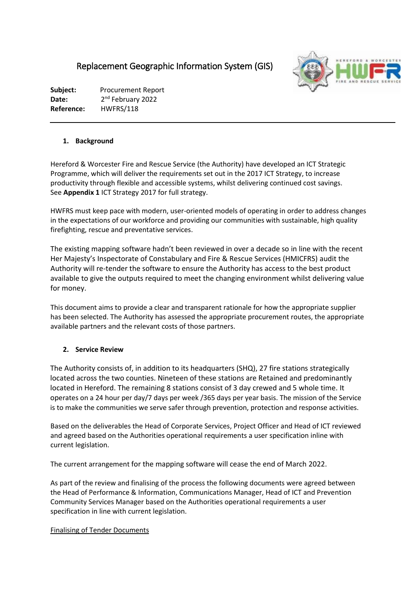# Replacement Geographic Information System (GIS)



**Subject:** Procurement Report Date: 2<sup>nd</sup> February 2022 **Reference:** HWFRS/118

## **1. Background**

Hereford & Worcester Fire and Rescue Service (the Authority) have developed an ICT Strategic Programme, which will deliver the requirements set out in the 2017 ICT Strategy, to increase productivity through flexible and accessible systems, whilst delivering continued cost savings. See **Appendix 1** ICT Strategy 2017 for full strategy.

HWFRS must keep pace with modern, user-oriented models of operating in order to address changes in the expectations of our workforce and providing our communities with sustainable, high quality firefighting, rescue and preventative services.

The existing mapping software hadn't been reviewed in over a decade so in line with the recent Her Majesty's Inspectorate of Constabulary and Fire & Rescue Services (HMICFRS) audit the Authority will re-tender the software to ensure the Authority has access to the best product available to give the outputs required to meet the changing environment whilst delivering value for money.

This document aims to provide a clear and transparent rationale for how the appropriate supplier has been selected. The Authority has assessed the appropriate procurement routes, the appropriate available partners and the relevant costs of those partners.

## **2. Service Review**

The Authority consists of, in addition to its headquarters (SHQ), 27 fire stations strategically located across the two counties. Nineteen of these stations are Retained and predominantly located in Hereford. The remaining 8 stations consist of 3 day crewed and 5 whole time. It operates on a 24 hour per day/7 days per week /365 days per year basis. The mission of the Service is to make the communities we serve safer through prevention, protection and response activities.

Based on the deliverables the Head of Corporate Services, Project Officer and Head of ICT reviewed and agreed based on the Authorities operational requirements a user specification inline with current legislation.

The current arrangement for the mapping software will cease the end of March 2022.

As part of the review and finalising of the process the following documents were agreed between the Head of Performance & Information, Communications Manager, Head of ICT and Prevention Community Services Manager based on the Authorities operational requirements a user specification in line with current legislation.

## Finalising of Tender Documents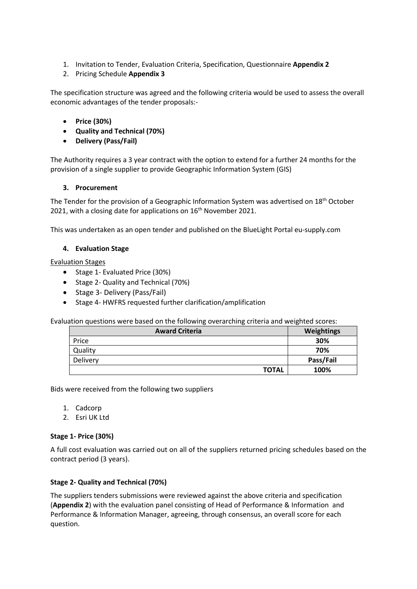- 1. Invitation to Tender, Evaluation Criteria, Specification, Questionnaire **Appendix 2**
- 2. Pricing Schedule **Appendix 3**

The specification structure was agreed and the following criteria would be used to assess the overall economic advantages of the tender proposals:-

- **Price (30%)**
- **Quality and Technical (70%)**
- **Delivery (Pass/Fail)**

The Authority requires a 3 year contract with the option to extend for a further 24 months for the provision of a single supplier to provide Geographic Information System (GIS)

#### **3. Procurement**

The Tender for the provision of a Geographic Information System was advertised on  $18<sup>th</sup>$  October 2021, with a closing date for applications on 16<sup>th</sup> November 2021.

This was undertaken as an open tender and published on the BlueLight Portal eu-supply.com

## **4. Evaluation Stage**

#### Evaluation Stages

- Stage 1- Evaluated Price (30%)
- Stage 2- Quality and Technical (70%)
- Stage 3- Delivery (Pass/Fail)
- Stage 4- HWFRS requested further clarification/amplification

Evaluation questions were based on the following overarching criteria and weighted scores:

| <b>Award Criteria</b> | Weightings |
|-----------------------|------------|
| Price                 | 30%        |
| Quality               | 70%        |
| Delivery              | Pass/Fail  |
| <b>TOTAL</b>          | 100%       |

Bids were received from the following two suppliers

- 1. Cadcorp
- 2. Esri UK Ltd

## **Stage 1- Price (30%)**

A full cost evaluation was carried out on all of the suppliers returned pricing schedules based on the contract period (3 years).

## **Stage 2- Quality and Technical (70%)**

The suppliers tenders submissions were reviewed against the above criteria and specification (**Appendix 2**) with the evaluation panel consisting of Head of Performance & Information and Performance & Information Manager, agreeing, through consensus, an overall score for each question.